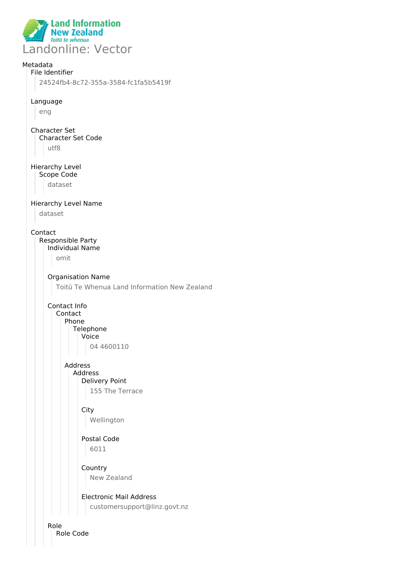

# Metadata File Identifier 24524fb4-8c72-355a-3584-fc1fa5b5419f Language eng Character Set Character Set Code utf8 Hierarchy Level Scope Code dataset Hierarchy Level Name dataset Contact Responsible Party Individual Name omit Organisation Name Toitū Te Whenua Land Information New Zealand Contact Info Contact Phone **Telephone** Voice 04 4600110 Address Address Delivery Point 155 The Terrace **City** Wellington Postal Code 6011 **Country** New Zealand Electronic Mail Address customersupport@linz.govt.nz

Role Role Code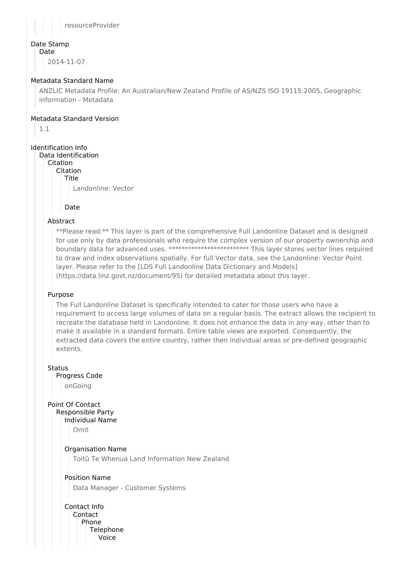

## Date Stamp

Date

2014-11-07

## Metadata Standard Name

ANZLIC Metadata Profile: An Australian/New Zealand Profile of AS/NZS ISO 19115:2005, Geographic information - Metadata

## Metadata Standard Version

1.1

## Identification Info

Data Identification

Citation

Citation Title

Landonline: Vector

Date

## Abstract

\*\*Please read:\*\* This layer is part of the comprehensive Full Landonline Dataset and is designed for use only by data professionals who require the complex version of our property ownership and boundary data for advanced uses. \*\*\*\*\*\*\*\*\*\*\*\*\*\*\*\*\*\*\*\*\*\*\*\*\*\*\*\* This layer stores vector lines required to draw and index observations spatially. For full Vector data, see the Landonline: Vector Point layer. Please refer to the [LDS Full Landonline Data Dictionary and Models] (https://data.linz.govt.nz/document/95) for detailed metadata about this layer.

## Purpose

The Full Landonline Dataset is specifically intended to cater for those users who have a requirement to access large volumes of data on a regular basis. The extract allows the recipient to recreate the database held in Landonline. It does not enhance the data in any way, other than to make it available in a standard formats. Entire table views are exported. Consequently, the extracted data covers the entire country, rather then individual areas or pre-defined geographic extents.

**Status** Progress Code

onGoing

Point Of Contact Responsible Party

Individual Name

Omit

Organisation Name

Toitū Te Whenua Land Information New Zealand

## Position Name

Data Manager - Customer Systems

Contact Info Contact Phone Telephone Voice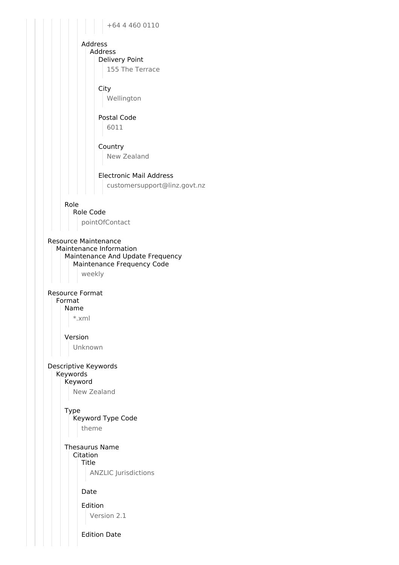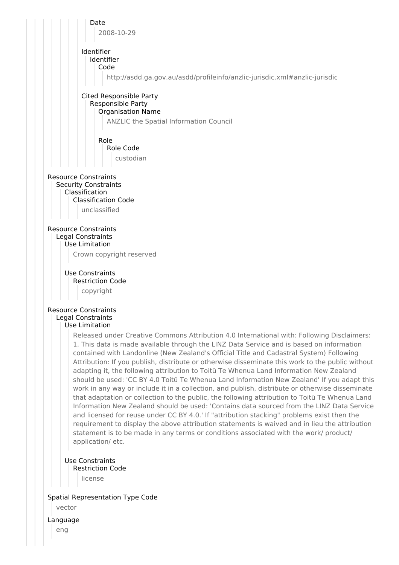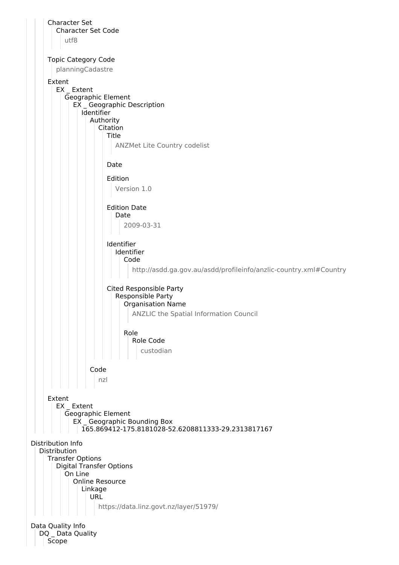